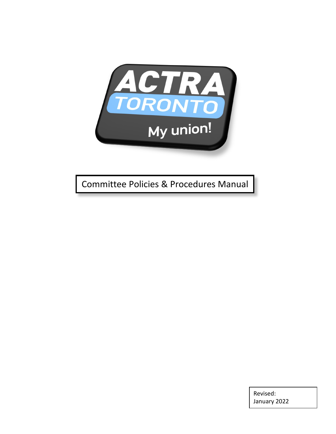

Committee Policies & Procedures Manual

Revised: January 2022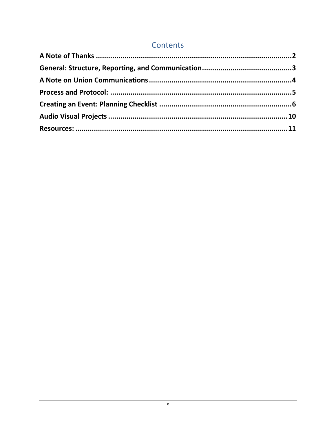# Contents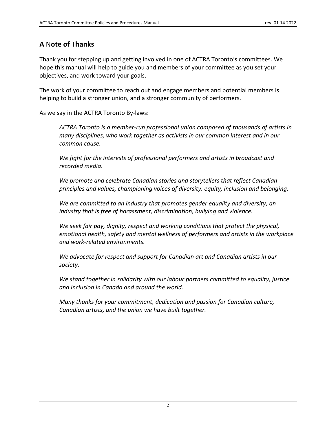# <span id="page-2-0"></span>**A** N**ote of** T**hanks**

Thank you for stepping up and getting involved in one of ACTRA Toronto's committees. We hope this manual will help to guide you and members of your committee as you set your objectives, and work toward your goals.

The work of your committee to reach out and engage members and potential members is helping to build a stronger union, and a stronger community of performers.

As we say in the ACTRA Toronto By-laws:

*ACTRA Toronto is a member-run professional union composed of thousands of artists in many disciplines, who work together as activists in our common interest and in our common cause.*

*We fight for the interests of professional performers and artists in broadcast and recorded media.*

*We promote and celebrate Canadian stories and storytellers that reflect Canadian principles and values, championing voices of diversity, equity, inclusion and belonging.*

*We are committed to an industry that promotes gender equality and diversity; an industry that is free of harassment, discrimination, bullying and violence.*

*We seek fair pay, dignity, respect and working conditions that protect the physical, emotional health, safety and mental wellness of performers and artists in the workplace and work-related environments.*

*We advocate for respect and support for Canadian art and Canadian artists in our society.*

*We stand together in solidarity with our labour partners committed to equality, justice and inclusion in Canada and around the world.*

*Many thanks for your commitment, dedication and passion for Canadian culture, Canadian artists, and the union we have built together.*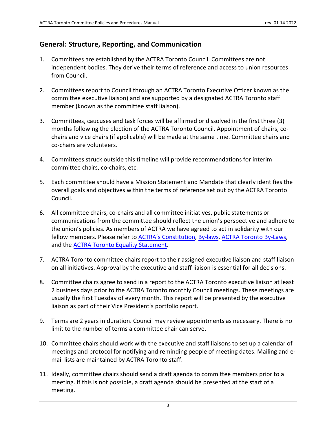## <span id="page-3-0"></span>**General: Structure, Reporting, and Communication**

- 1. Committees are established by the ACTRA Toronto Council. Committees are not independent bodies. They derive their terms of reference and access to union resources from Council.
- 2. Committees report to Council through an ACTRA Toronto Executive Officer known as the committee executive liaison) and are supported by a designated ACTRA Toronto staff member (known as the committee staff liaison).
- 3. Committees, caucuses and task forces will be affirmed or dissolved in the first three (3) months following the election of the ACTRA Toronto Council. Appointment of chairs, cochairs and vice chairs (if applicable) will be made at the same time. Committee chairs and co-chairs are volunteers.
- 4. Committees struck outside this timeline will provide recommendations for interim committee chairs, co-chairs, etc.
- 5. Each committee should have a Mission Statement and Mandate that clearly identifies the overall goals and objectives within the terms of reference set out by the ACTRA Toronto Council.
- 6. All committee chairs, co-chairs and all committee initiatives, public statements or communications from the committee should reflect the union's perspective and adhere to the union's policies. As members of ACTRA we have agreed to act in solidarity with our fellow members. Please refer to [ACTRA's Constitution,](https://www.actra.ca/wp-content/uploads/2020/05/ACTRA-National-Constitution-24-April-2020.pdf) [By-laws,](https://www.actra.ca/wp-content/uploads/2020/05/ACTRA-National-By-Laws-with-Appendices-24-April-2020.pdf) [ACTRA Toronto By-Laws,](https://www.actratoronto.com/wp-content/uploads/2021/07/ACTRA-Toronto-By_Laws-July-2021.pdf) and the ACTRA Toronto Equality Statement.
- 7. ACTRA Toronto committee chairs report to their assigned executive liaison and staff liaison on all initiatives. Approval by the executive and staff liaison is essential for all decisions.
- 8. Committee chairs agree to send in a report to the ACTRA Toronto executive liaison at least 2 business days prior to the ACTRA Toronto monthly Council meetings. These meetings are usually the first Tuesday of every month. This report will be presented by the executive liaison as part of their Vice President's portfolio report.
- 9. Terms are 2 years in duration. Council may review appointments as necessary. There is no limit to the number of terms a committee chair can serve.
- 10. Committee chairs should work with the executive and staff liaisons to set up a calendar of meetings and protocol for notifying and reminding people of meeting dates. Mailing and email lists are maintained by ACTRA Toronto staff.
- 11. Ideally, committee chairs should send a draft agenda to committee members prior to a meeting. If this is not possible, a draft agenda should be presented at the start of a meeting.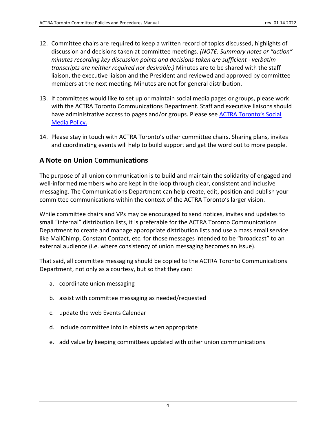- 12. Committee chairs are required to keep a written record of topics discussed, highlights of discussion and decisions taken at committee meetings. *(NOTE: Summary notes or "action" minutes recording key discussion points and decisions taken are sufficient - verbatim transcripts are neither required nor desirable.)* Minutes are to be shared with the staff liaison, the executive liaison and the President and reviewed and approved by committee members at the next meeting. Minutes are not for general distribution.
- 13. If committees would like to set up or maintain social media pages or groups, please work with the ACTRA Toronto Communications Department. Staff and executive liaisons should have administrative access to pages and/or groups. Please see **ACTRA [Toronto's Social](#page-13-0)** [Media Policy.](#page-13-0)
- 14. Please stay in touch with ACTRA Toronto's other committee chairs. Sharing plans, invites and coordinating events will help to build support and get the word out to more people.

## <span id="page-4-0"></span>**A Note on Union** C**ommunications**

The purpose of all union communication is to build and maintain the solidarity of engaged and well-informed members who are kept in the loop through clear, consistent and inclusive messaging. The Communications Department can help create, edit, position and publish your committee communications within the context of the ACTRA Toronto's larger vision.

While committee chairs and VPs may be encouraged to send notices, invites and updates to small "internal" distribution lists, it is preferable for the ACTRA Toronto Communications Department to create and manage appropriate distribution lists and use a mass email service like MailChimp, Constant Contact, etc. for those messages intended to be "broadcast" to an external audience (i.e. where consistency of union messaging becomes an issue).

That said, all committee messaging should be copied to the ACTRA Toronto Communications Department, not only as a courtesy, but so that they can:

- a. coordinate union messaging
- b. assist with committee messaging as needed/requested
- c. update the web Events Calendar
- d. include committee info in eblasts when appropriate
- <span id="page-4-1"></span>e. add value by keeping committees updated with other union communications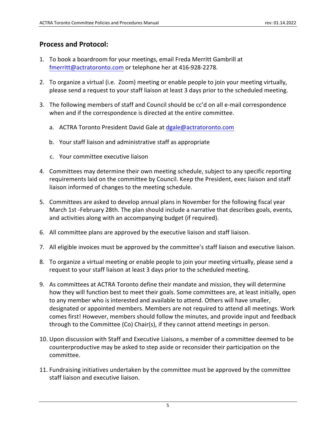## **Process and Protocol:**

- 1. To book a boardroom for your meetings, email Freda Merritt Gambrill at [fmerritt@actratoronto.com](mailto:fmerritt@actratoronto.com) or telephone her at 416-928-2278.
- 2. To organize a virtual (i.e. Zoom) meeting or enable people to join your meeting virtually, please send a request to your staff liaison at least 3 days prior to the scheduled meeting.
- 3. The following members of staff and Council should be cc'd on all e-mail correspondence when and if the correspondence is directed at the entire committee.
	- a. ACTRA Toronto President David Gale at [dgale@actratoronto.com](mailto:ttova@actratoronto.com)
	- b. Your staff liaison and administrative staff as appropriate
	- c. Your committee executive liaison
- 4. Committees may determine their own meeting schedule, subject to any specific reporting requirements laid on the committee by Council. Keep the President, exec liaison and staff liaison informed of changes to the meeting schedule.
- 5. Committees are asked to develop annual plans in November for the following fiscal year March 1st -February 28th. The plan should include a narrative that describes goals, events, and activities along with an accompanying budget (if required).
- 6. All committee plans are approved by the executive liaison and staff liaison.
- 7. All eligible invoices must be approved by the committee's staff liaison and executive liaison.
- 8. To organize a virtual meeting or enable people to join your meeting virtually, please send a request to your staff liaison at least 3 days prior to the scheduled meeting.
- 9. As committees at ACTRA Toronto define their mandate and mission, they will determine how they will function best to meet their goals. Some committees are, at least initially, open to any member who is interested and available to attend. Others will have smaller, designated or appointed members. Members are not required to attend all meetings. Work comes first! However, members should follow the minutes, and provide input and feedback through to the Committee (Co) Chair(s), if they cannot attend meetings in person.
- 10. Upon discussion with Staff and Executive Liaisons, a member of a committee deemed to be counterproductive may be asked to step aside or reconsider their participation on the committee.
- 11. Fundraising initiatives undertaken by the committee must be approved by the committee staff liaison and executive liaison.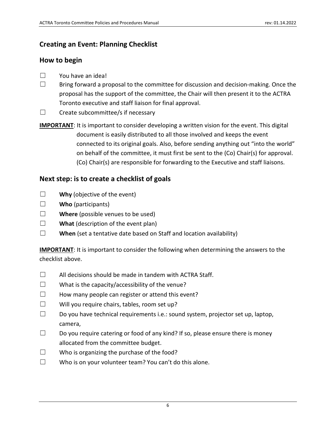# <span id="page-6-0"></span>**Creating an Event: Planning Checklist**

## **How to begin**

- ☐ You have an idea!
- $\Box$  Bring forward a proposal to the committee for discussion and decision-making. Once the proposal has the support of the committee, the Chair will then present it to the ACTRA Toronto executive and staff liaison for final approval.
- ☐ Create subcommittee/s if necessary
- **IMPORTANT:** It is important to consider developing a written vision for the event. This digital document is easily distributed to all those involved and keeps the event connected to its original goals. Also, before sending anything out "into the world" on behalf of the committee, it must first be sent to the (Co) Chair(s) for approval. (Co) Chair(s) are responsible for forwarding to the Executive and staff liaisons.

# **Next step: is to create a checklist of goals**

- ☐ **Why** (objective of the event)
- ☐ **Who** (participants)
- ☐ **Where** (possible venues to be used)
- ☐ **What** (description of the event plan)
- ☐ **When** (set a tentative date based on Staff and location availability)

**IMPORTANT**: It is important to consider the following when determining the answers to the checklist above.

- $\Box$  All decisions should be made in tandem with ACTRA Staff.
- $\Box$  What is the capacity/accessibility of the venue?
- $\Box$  How many people can register or attend this event?
- $\square$  Will you require chairs, tables, room set up?
- $\Box$  Do you have technical requirements i.e.: sound system, projector set up, laptop, camera,
- $\Box$  Do you require catering or food of any kind? If so, please ensure there is money allocated from the committee budget.
- ☐ Who is organizing the purchase of the food?
- ☐ Who is on your volunteer team? You can't do this alone.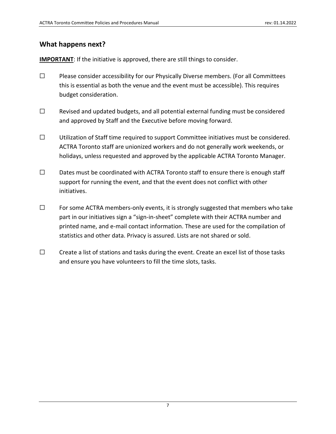## **What happens next?**

**IMPORTANT:** If the initiative is approved, there are still things to consider.

- ☐ Please consider accessibility for our Physically Diverse members. (For all Committees this is essential as both the venue and the event must be accessible). This requires budget consideration.
- ☐ Revised and updated budgets, and all potential external funding must be considered and approved by Staff and the Executive before moving forward.
- ☐ Utilization of Staff time required to support Committee initiatives must be considered. ACTRA Toronto staff are unionized workers and do not generally work weekends, or holidays, unless requested and approved by the applicable ACTRA Toronto Manager.
- ☐ Dates must be coordinated with ACTRA Toronto staff to ensure there is enough staff support for running the event, and that the event does not conflict with other initiatives.
- ☐ For some ACTRA members-only events, it is strongly suggested that members who take part in our initiatives sign a "sign-in-sheet" complete with their ACTRA number and printed name, and e-mail contact information. These are used for the compilation of statistics and other data. Privacy is assured. Lists are not shared or sold.
- □ Create a list of stations and tasks during the event. Create an excel list of those tasks and ensure you have volunteers to fill the time slots, tasks.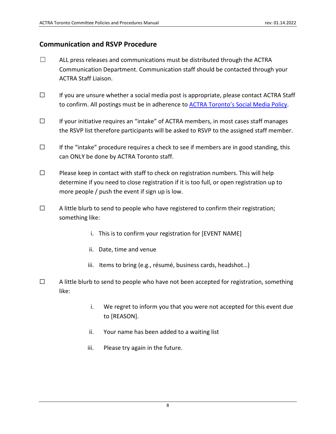## **Communication and RSVP Procedure**

- $\Box$  ALL press releases and communications must be distributed through the ACTRA Communication Department. Communication staff should be contacted through your ACTRA Staff Liaison.
- ☐ If you are unsure whether a social media post is appropriate, please contact ACTRA Staff to confirm. All postings must be in adherence to **ACTRA Toronto's Social Media Policy**.
- ☐ If your initiative requires an "intake" of ACTRA members, in most cases staff manages the RSVP list therefore participants will be asked to RSVP to the assigned staff member.
- $\Box$  If the "intake" procedure requires a check to see if members are in good standing, this can ONLY be done by ACTRA Toronto staff.
- $\Box$  Please keep in contact with staff to check on registration numbers. This will help determine if you need to close registration if it is too full, or open registration up to more people / push the event if sign up is low.
- $\Box$  A little blurb to send to people who have registered to confirm their registration; something like:
	- i. This is to confirm your registration for [EVENT NAME]
	- ii. Date, time and venue
	- iii. Items to bring (e.g., résumé, business cards, headshot…)
- $\Box$  A little blurb to send to people who have not been accepted for registration, something like:
	- i. We regret to inform you that you were not accepted for this event due to [REASON].
	- ii. Your name has been added to a waiting list
	- iii. Please try again in the future.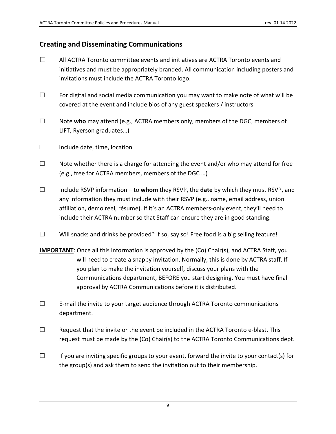## **Creating and Disseminating Communications**

- $\Box$  All ACTRA Toronto committee events and initiatives are ACTRA Toronto events and initiatives and must be appropriately branded. All communication including posters and invitations must include the ACTRA Toronto logo.
- $\Box$  For digital and social media communication you may want to make note of what will be covered at the event and include bios of any guest speakers / instructors
- ☐ Note **who** may attend (e.g., ACTRA members only, members of the DGC, members of LIFT, Ryerson graduates…)
- ☐ Include date, time, location
- $\Box$  Note whether there is a charge for attending the event and/or who may attend for free (e.g., free for ACTRA members, members of the DGC …)
- ☐ Include RSVP information to **whom** they RSVP, the **date** by which they must RSVP, and any information they must include with their RSVP (e.g., name, email address, union affiliation, demo reel, résumé). If it's an ACTRA members-only event, they'll need to include their ACTRA number so that Staff can ensure they are in good standing.
- ☐ Will snacks and drinks be provided? If so, say so! Free food is a big selling feature!
- **IMPORTANT**: Once all this information is approved by the (Co) Chair(s), and ACTRA Staff, you will need to create a snappy invitation. Normally, this is done by ACTRA staff. If you plan to make the invitation yourself, discuss your plans with the Communications department, BEFORE you start designing. You must have final approval by ACTRA Communications before it is distributed.
- ☐ E-mail the invite to your target audience through ACTRA Toronto communications department.
- $\Box$  Request that the invite or the event be included in the ACTRA Toronto e-blast. This request must be made by the (Co) Chair(s) to the ACTRA Toronto Communications dept.
- $\Box$  If you are inviting specific groups to your event, forward the invite to your contact(s) for the group(s) and ask them to send the invitation out to their membership.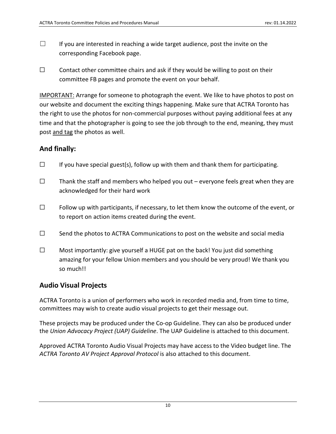- $\Box$  If you are interested in reaching a wide target audience, post the invite on the corresponding Facebook page.
- $\Box$  Contact other committee chairs and ask if they would be willing to post on their committee FB pages and promote the event on your behalf.

IMPORTANT: Arrange for someone to photograph the event. We like to have photos to post on our website and document the exciting things happening. Make sure that ACTRA Toronto has the right to use the photos for non-commercial purposes without paying additional fees at any time and that the photographer is going to see the job through to the end, meaning, they must post and tag the photos as well.

## **And finally:**

- $\Box$  If you have special guest(s), follow up with them and thank them for participating.
- $\Box$  Thank the staff and members who helped you out everyone feels great when they are acknowledged for their hard work
- $\Box$  Follow up with participants, if necessary, to let them know the outcome of the event, or to report on action items created during the event.
- $\Box$  Send the photos to ACTRA Communications to post on the website and social media
- ☐ Most importantly: give yourself a HUGE pat on the back! You just did something amazing for your fellow Union members and you should be very proud! We thank you so much!!

## <span id="page-10-0"></span>**Audio Visual Projects**

ACTRA Toronto is a union of performers who work in recorded media and, from time to time, committees may wish to create audio visual projects to get their message out.

These projects may be produced under the Co-op Guideline. They can also be produced under the *Union Advocacy Project (UAP) Guideline*. The UAP Guideline is attached to this document.

Approved ACTRA Toronto Audio Visual Projects may have access to the Video budget line. The *ACTRA Toronto AV Project Approval Protocol* is also attached to this document.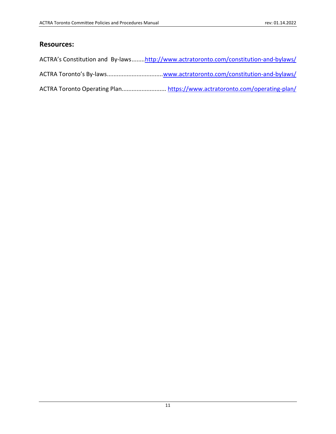## <span id="page-11-0"></span>**Resources:**

| ACTRA's Constitution and By-lawshttp://www.actratoronto.com/constitution-and-bylaws/ |
|--------------------------------------------------------------------------------------|
|                                                                                      |
|                                                                                      |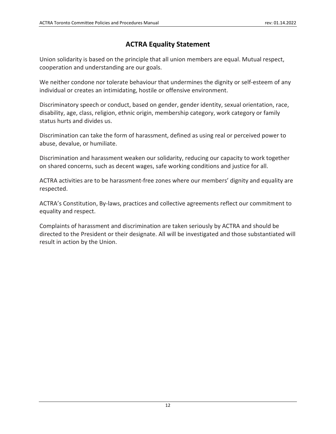# **ACTRA Equality Statement**

Union solidarity is based on the principle that all union members are equal. Mutual respect, cooperation and understanding are our goals.

We neither condone nor tolerate behaviour that undermines the dignity or self-esteem of any individual or creates an intimidating, hostile or offensive environment.

Discriminatory speech or conduct, based on gender, gender identity, sexual orientation, race, disability, age, class, religion, ethnic origin, membership category, work category or family status hurts and divides us.

Discrimination can take the form of harassment, defined as using real or perceived power to abuse, devalue, or humiliate.

Discrimination and harassment weaken our solidarity, reducing our capacity to work together on shared concerns, such as decent wages, safe working conditions and justice for all.

ACTRA activities are to be harassment-free zones where our members' dignity and equality are respected.

ACTRA's Constitution, By-laws, practices and collective agreements reflect our commitment to equality and respect.

Complaints of harassment and discrimination are taken seriously by ACTRA and should be directed to the President or their designate. All will be investigated and those substantiated will result in action by the Union.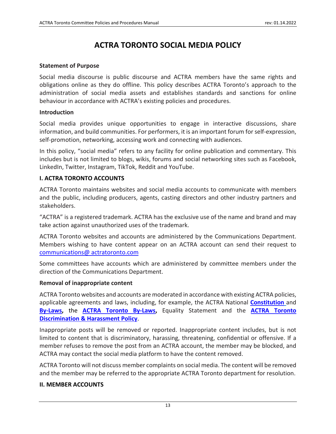# **ACTRA TORONTO SOCIAL MEDIA POLICY**

#### <span id="page-13-0"></span>**Statement of Purpose**

Social media discourse is public discourse and ACTRA members have the same rights and obligations online as they do offline. This policy describes ACTRA Toronto's approach to the administration of social media assets and establishes standards and sanctions for online behaviour in accordance with ACTRA's existing policies and procedures.

#### **Introduction**

Social media provides unique opportunities to engage in interactive discussions, share information, and build communities. For performers, it is an important forum for self-expression, self-promotion, networking, accessing work and connecting with audiences.

In this policy, "social media" refers to any facility for online publication and commentary. This includes but is not limited to blogs, wikis, forums and social networking sites such as Facebook, LinkedIn, Twitter, Instagram, TikTok, Reddit and YouTube.

### **I. ACTRA TORONTO ACCOUNTS**

ACTRA Toronto maintains websites and social media accounts to communicate with members and the public, including producers, agents, casting directors and other industry partners and stakeholders.

"ACTRA" is a registered trademark. ACTRA has the exclusive use of the name and brand and may take action against unauthorized uses of the trademark.

ACTRA Toronto websites and accounts are administered by the Communications Department. Members wishing to have content appear on an ACTRA account can send their request to [communications@ actratoronto.com](mailto:communications@%20actratoronto.com?subject=ACTRA%20Toronto%20Social%20Media%20Post%20Request)

Some committees have accounts which are administered by committee members under the direction of the Communications Department.

### **Removal of inappropriate content**

ACTRA Toronto websites and accounts are moderated in accordance with existing ACTRA policies, applicable agreements and laws, including, for example, the ACTRA National **[Constitution](https://www.actra.ca/wp-content/uploads/2020/05/ACTRA-National-Constitution-24-April-2020.pdf)** and **[By-Laws,](https://www.actra.ca/wp-content/uploads/2020/05/ACTRA-National-By-Laws-with-Appendices-24-April-2020.pdf)** the **[ACTRA Toronto By-Laws,](https://www.actratoronto.com/wp-content/uploads/2021/07/ACTRA-Toronto-By_Laws-July-2021.pdf)** Equality Statement and the **ACTRA [Toronto](https://www.actratoronto.com/harassment/)  [Discrimination & Harassment Policy](https://www.actratoronto.com/harassment/)**.

Inappropriate posts will be removed or reported. Inappropriate content includes, but is not limited to content that is discriminatory, harassing, threatening, confidential or offensive. If a member refuses to remove the post from an ACTRA account, the member may be blocked, and ACTRA may contact the social media platform to have the content removed.

ACTRA Toronto will not discuss member complaints on social media. The content will be removed and the member may be referred to the appropriate ACTRA Toronto department for resolution.

#### **II. MEMBER ACCOUNTS**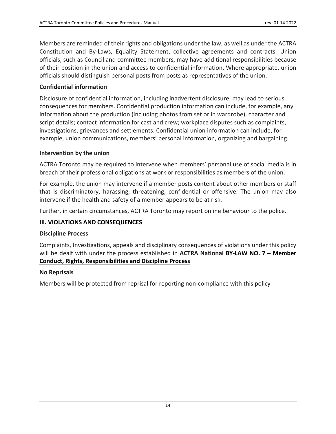Members are reminded of their rights and obligations under the law, as well as under the ACTRA Constitution and By-Laws, Equality Statement, collective agreements and contracts. Union officials, such as Council and committee members, may have additional responsibilities because of their position in the union and access to confidential information. Where appropriate, union officials should distinguish personal posts from posts as representatives of the union.

## **Confidential information**

Disclosure of confidential information, including inadvertent disclosure, may lead to serious consequences for members. Confidential production information can include, for example, any information about the production (including photos from set or in wardrobe), character and script details; contact information for cast and crew; workplace disputes such as complaints, investigations, grievances and settlements. Confidential union information can include, for example, union communications, members' personal information, organizing and bargaining.

### **Intervention by the union**

ACTRA Toronto may be required to intervene when members' personal use of social media is in breach of their professional obligations at work or responsibilities as members of the union.

For example, the union may intervene if a member posts content about other members or staff that is discriminatory, harassing, threatening, confidential or offensive. The union may also intervene if the health and safety of a member appears to be at risk.

Further, in certain circumstances, ACTRA Toronto may report online behaviour to the police.

### **III. VIOLATIONS AND CONSEQUENCES**

### **Discipline Process**

Complaints, Investigations, appeals and disciplinary consequences of violations under this policy will be dealt with under the process established in **ACTRA National BY-LAW NO. 7 – Member Conduct, Rights, Responsibilities and Discipline Process**

### **No Reprisals**

Members will be protected from reprisal for reporting non-compliance with this policy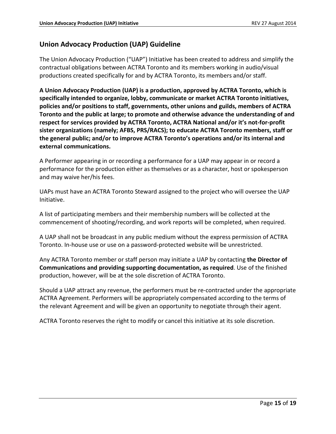## **Union Advocacy Production (UAP) Guideline**

The Union Advocacy Production ("UAP") Initiative has been created to address and simplify the contractual obligations between ACTRA Toronto and its members working in audio/visual productions created specifically for and by ACTRA Toronto, its members and/or staff.

**A Union Advocacy Production (UAP) is a production, approved by ACTRA Toronto, which is specifically intended to organize, lobby, communicate or market ACTRA Toronto initiatives, policies and/or positions to staff, governments, other unions and guilds, members of ACTRA Toronto and the public at large; to promote and otherwise advance the understanding of and respect for services provided by ACTRA Toronto, ACTRA National and/or it's not-for-profit sister organizations (namely; AFBS, PRS/RACS); to educate ACTRA Toronto members, staff or the general public; and/or to improve ACTRA Toronto's operations and/or its internal and external communications.**

A Performer appearing in or recording a performance for a UAP may appear in or record a performance for the production either as themselves or as a character, host or spokesperson and may waive her/his fees.

UAPs must have an ACTRA Toronto Steward assigned to the project who will oversee the UAP Initiative.

A list of participating members and their membership numbers will be collected at the commencement of shooting/recording, and work reports will be completed, when required.

A UAP shall not be broadcast in any public medium without the express permission of ACTRA Toronto. In-house use or use on a password-protected website will be unrestricted.

Any ACTRA Toronto member or staff person may initiate a UAP by contacting **the Director of Communications and providing supporting documentation, as required**. Use of the finished production, however, will be at the sole discretion of ACTRA Toronto.

Should a UAP attract any revenue, the performers must be re-contracted under the appropriate ACTRA Agreement. Performers will be appropriately compensated according to the terms of the relevant Agreement and will be given an opportunity to negotiate through their agent.

ACTRA Toronto reserves the right to modify or cancel this initiative at its sole discretion.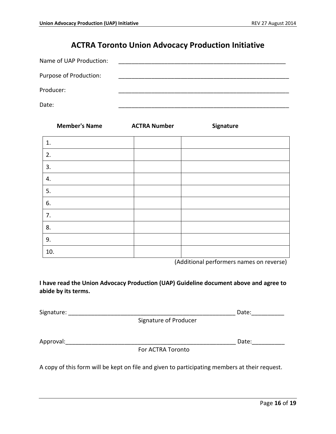# **ACTRA Toronto Union Advocacy Production Initiative**

| Name of UAP Production: |  |
|-------------------------|--|
| Purpose of Production:  |  |
| Producer:               |  |
| Date:                   |  |

|     | <b>Member's Name</b> | <b>ACTRA Number</b> | Signature |
|-----|----------------------|---------------------|-----------|
| 1.  |                      |                     |           |
| 2.  |                      |                     |           |
| 3.  |                      |                     |           |
| 4.  |                      |                     |           |
| 5.  |                      |                     |           |
| 6.  |                      |                     |           |
| 7.  |                      |                     |           |
| 8.  |                      |                     |           |
| 9.  |                      |                     |           |
| 10. |                      |                     |           |

(Additional performers names on reverse)

**I have read the Union Advocacy Production (UAP) Guideline document above and agree to abide by its terms.**

| Signature: |                       | Date: |
|------------|-----------------------|-------|
|            | Signature of Producer |       |
| Approval:  |                       | Date: |
|            | For ACTRA Toronto     |       |
|            |                       |       |

A copy of this form will be kept on file and given to participating members at their request.